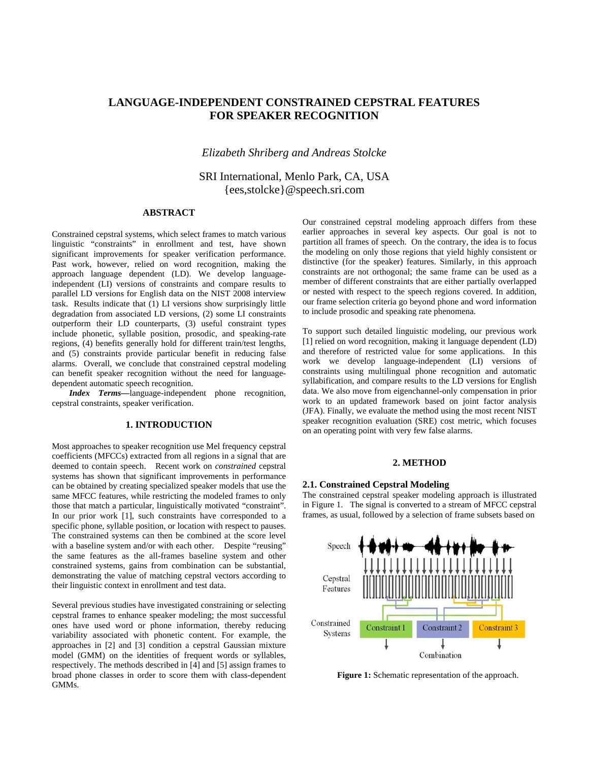# **LANGUAGE-INDEPENDENT CONSTRAINED CEPSTRAL FEATURES FOR SPEAKER RECOGNITION**

## *Elizabeth Shriberg and Andreas Stolcke*

SRI International, Menlo Park, CA, USA {ees,stolcke}@speech.sri.com

### **ABSTRACT**

Constrained cepstral systems, which select frames to match various linguistic "constraints" in enrollment and test, have shown significant improvements for speaker verification performance. Past work, however, relied on word recognition, making the approach language dependent (LD). We develop languageindependent (LI) versions of constraints and compare results to parallel LD versions for English data on the NIST 2008 interview task. Results indicate that (1) LI versions show surprisingly little degradation from associated LD versions, (2) some LI constraints outperform their LD counterparts, (3) useful constraint types include phonetic, syllable position, prosodic, and speaking-rate regions, (4) benefits generally hold for different train/test lengths, and (5) constraints provide particular benefit in reducing false alarms. Overall, we conclude that constrained cepstral modeling can benefit speaker recognition without the need for languagedependent automatic speech recognition.

*Index Terms—*language-independent phone recognition, cepstral constraints, speaker verification.

### **1. INTRODUCTION**

Most approaches to speaker recognition use Mel frequency cepstral coefficients (MFCCs) extracted from all regions in a signal that are deemed to contain speech. Recent work on *constrained* cepstral systems has shown that significant improvements in performance can be obtained by creating specialized speaker models that use the same MFCC features, while restricting the modeled frames to only those that match a particular, linguistically motivated "constraint". In our prior work [1], such constraints have corresponded to a specific phone, syllable position, or location with respect to pauses. The constrained systems can then be combined at the score level with a baseline system and/or with each other. Despite "reusing" the same features as the all-frames baseline system and other constrained systems, gains from combination can be substantial, demonstrating the value of matching cepstral vectors according to their linguistic context in enrollment and test data.

Several previous studies have investigated constraining or selecting cepstral frames to enhance speaker modeling; the most successful ones have used word or phone information, thereby reducing variability associated with phonetic content. For example, the approaches in [2] and [3] condition a cepstral Gaussian mixture model (GMM) on the identities of frequent words or syllables, respectively. The methods described in [4] and [5] assign frames to broad phone classes in order to score them with class-dependent GMMs.

Our constrained cepstral modeling approach differs from these earlier approaches in several key aspects. Our goal is not to partition all frames of speech. On the contrary, the idea is to focus the modeling on only those regions that yield highly consistent or distinctive (for the speaker) features. Similarly, in this approach constraints are not orthogonal; the same frame can be used as a member of different constraints that are either partially overlapped or nested with respect to the speech regions covered. In addition, our frame selection criteria go beyond phone and word information to include prosodic and speaking rate phenomena.

To support such detailed linguistic modeling, our previous work [1] relied on word recognition, making it language dependent (LD) and therefore of restricted value for some applications. In this work we develop language-independent (LI) versions of constraints using multilingual phone recognition and automatic syllabification, and compare results to the LD versions for English data. We also move from eigenchannel-only compensation in prior work to an updated framework based on joint factor analysis (JFA). Finally, we evaluate the method using the most recent NIST speaker recognition evaluation (SRE) cost metric, which focuses on an operating point with very few false alarms.

#### **2. METHOD**

#### **2.1. Constrained Cepstral Modeling**

The constrained cepstral speaker modeling approach is illustrated in Figure 1. The signal is converted to a stream of MFCC cepstral frames, as usual, followed by a selection of frame subsets based on



Figure 1: Schematic representation of the approach.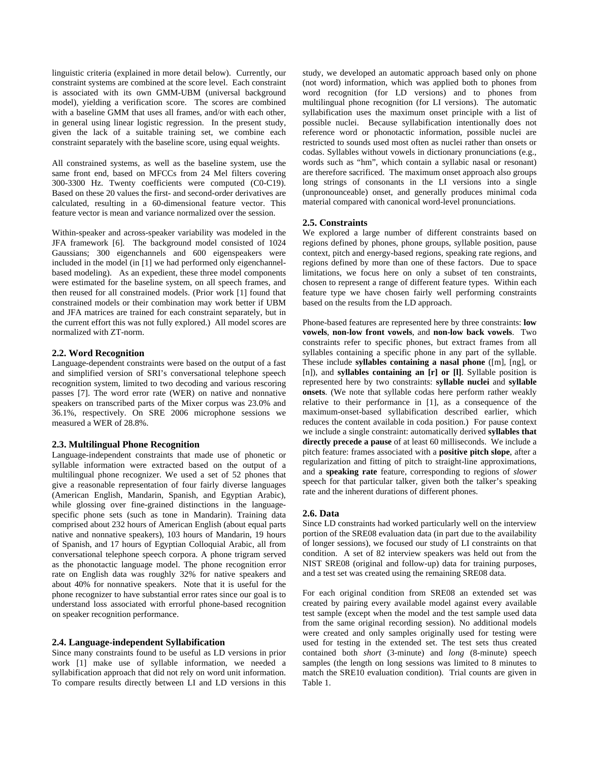linguistic criteria (explained in more detail below). Currently, our constraint systems are combined at the score level. Each constraint is associated with its own GMM-UBM (universal background model), yielding a verification score. The scores are combined with a baseline GMM that uses all frames, and/or with each other, in general using linear logistic regression. In the present study, given the lack of a suitable training set, we combine each constraint separately with the baseline score, using equal weights.

All constrained systems, as well as the baseline system, use the same front end, based on MFCCs from 24 Mel filters covering 300-3300 Hz. Twenty coefficients were computed (C0-C19). Based on these 20 values the first- and second-order derivatives are calculated, resulting in a 60-dimensional feature vector. This feature vector is mean and variance normalized over the session.

Within-speaker and across-speaker variability was modeled in the JFA framework [6]. The background model consisted of 1024 Gaussians; 300 eigenchannels and 600 eigenspeakers were included in the model (in [1] we had performed only eigenchannelbased modeling). As an expedient, these three model components were estimated for the baseline system, on all speech frames, and then reused for all constrained models. (Prior work [1] found that constrained models or their combination may work better if UBM and JFA matrices are trained for each constraint separately, but in the current effort this was not fully explored.) All model scores are normalized with ZT-norm.

### **2.2. Word Recognition**

Language-dependent constraints were based on the output of a fast and simplified version of SRI's conversational telephone speech recognition system, limited to two decoding and various rescoring passes [7]. The word error rate (WER) on native and nonnative speakers on transcribed parts of the Mixer corpus was 23.0% and 36.1%, respectively. On SRE 2006 microphone sessions we measured a WER of 28.8%.

#### **2.3. Multilingual Phone Recognition**

Language-independent constraints that made use of phonetic or syllable information were extracted based on the output of a multilingual phone recognizer. We used a set of 52 phones that give a reasonable representation of four fairly diverse languages (American English, Mandarin, Spanish, and Egyptian Arabic), while glossing over fine-grained distinctions in the languagespecific phone sets (such as tone in Mandarin). Training data comprised about 232 hours of American English (about equal parts native and nonnative speakers), 103 hours of Mandarin, 19 hours of Spanish, and 17 hours of Egyptian Colloquial Arabic, all from conversational telephone speech corpora. A phone trigram served as the phonotactic language model. The phone recognition error rate on English data was roughly 32% for native speakers and about 40% for nonnative speakers. Note that it is useful for the phone recognizer to have substantial error rates since our goal is to understand loss associated with errorful phone-based recognition on speaker recognition performance.

## **2.4. Language-independent Syllabification**

Since many constraints found to be useful as LD versions in prior work [1] make use of syllable information, we needed a syllabification approach that did not rely on word unit information. To compare results directly between LI and LD versions in this

study, we developed an automatic approach based only on phone (not word) information, which was applied both to phones from word recognition (for LD versions) and to phones from multilingual phone recognition (for LI versions). The automatic syllabification uses the maximum onset principle with a list of possible nuclei. Because syllabification intentionally does not reference word or phonotactic information, possible nuclei are restricted to sounds used most often as nuclei rather than onsets or codas. Syllables without vowels in dictionary pronunciations (e.g., words such as "hm", which contain a syllabic nasal or resonant) are therefore sacrificed. The maximum onset approach also groups long strings of consonants in the LI versions into a single (unpronounceable) onset, and generally produces minimal coda material compared with canonical word-level pronunciations.

## **2.5. Constraints**

We explored a large number of different constraints based on regions defined by phones, phone groups, syllable position, pause context, pitch and energy-based regions, speaking rate regions, and regions defined by more than one of these factors. Due to space limitations, we focus here on only a subset of ten constraints, chosen to represent a range of different feature types. Within each feature type we have chosen fairly well performing constraints based on the results from the LD approach.

Phone-based features are represented here by three constraints: **low vowels**, **non-low front vowels**, and **non-low back vowels**. Two constraints refer to specific phones, but extract frames from all syllables containing a specific phone in any part of the syllable. These include **syllables containing a nasal phone** ([m], [ng], or [n]), and **syllables containing an [r] or [l]**. Syllable position is represented here by two constraints: **syllable nuclei** and **syllable onsets**. (We note that syllable codas here perform rather weakly relative to their performance in [1], as a consequence of the maximum-onset-based syllabification described earlier, which reduces the content available in coda position.) For pause context we include a single constraint: automatically derived **syllables that directly precede a pause** of at least 60 milliseconds. We include a pitch feature: frames associated with a **positive pitch slope**, after a regularization and fitting of pitch to straight-line approximations, and a **speaking rate** feature, corresponding to regions of *slower* speech for that particular talker, given both the talker's speaking rate and the inherent durations of different phones.

## **2.6. Data**

Since LD constraints had worked particularly well on the interview portion of the SRE08 evaluation data (in part due to the availability of longer sessions), we focused our study of LI constraints on that condition. A set of 82 interview speakers was held out from the NIST SRE08 (original and follow-up) data for training purposes, and a test set was created using the remaining SRE08 data.

For each original condition from SRE08 an extended set was created by pairing every available model against every available test sample (except when the model and the test sample used data from the same original recording session). No additional models were created and only samples originally used for testing were used for testing in the extended set. The test sets thus created contained both *short* (3-minute) and *long* (8-minute) speech samples (the length on long sessions was limited to 8 minutes to match the SRE10 evaluation condition). Trial counts are given in Table 1.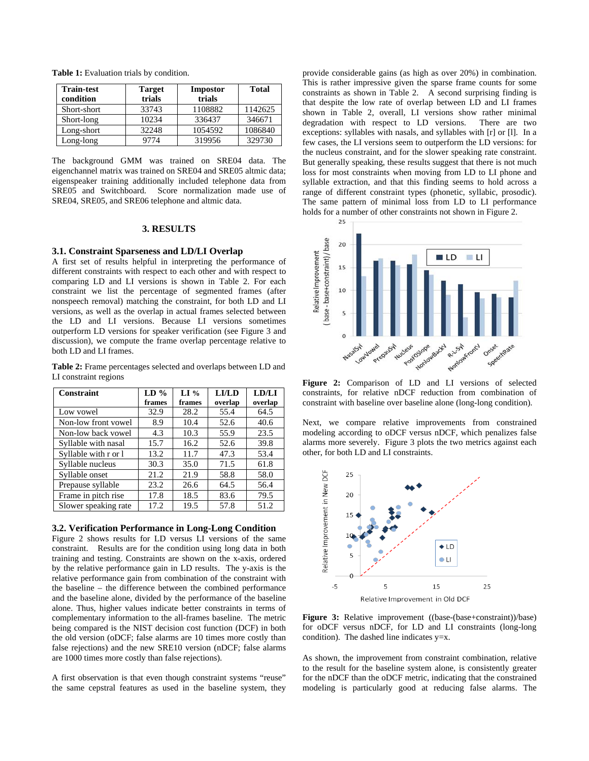| <b>Train-test</b><br>condition | <b>Target</b><br>trials | <b>Impostor</b><br>trials | <b>Total</b> |
|--------------------------------|-------------------------|---------------------------|--------------|
| Short-short                    | 33743                   | 1108882                   | 1142625      |
| Short-long                     | 10234                   | 336437                    | 346671       |
| Long-short                     | 32248                   | 1054592                   | 1086840      |
| Long-long                      | 9774                    | 319956                    | 329730       |

Table 1: Evaluation trials by condition.

The background GMM was trained on SRE04 data. The eigenchannel matrix was trained on SRE04 and SRE05 altmic data; eigenspeaker training additionally included telephone data from SRE05 and Switchboard. Score normalization made use of SRE04, SRE05, and SRE06 telephone and altmic data.

### **3. RESULTS**

#### **3.1. Constraint Sparseness and LD/LI Overlap**

A first set of results helpful in interpreting the performance of different constraints with respect to each other and with respect to comparing LD and LI versions is shown in Table 2. For each constraint we list the percentage of segmented frames (after nonspeech removal) matching the constraint, for both LD and LI versions, as well as the overlap in actual frames selected between the LD and LI versions. Because LI versions sometimes outperform LD versions for speaker verification (see Figure 3 and discussion), we compute the frame overlap percentage relative to both LD and LI frames.

**Table 2:** Frame percentages selected and overlaps between LD and LI constraint regions

| Constraint           | LD $%$ | LI%    | LI/LD   | LD/LI   |
|----------------------|--------|--------|---------|---------|
|                      | frames | frames | overlap | overlap |
| Low vowel            | 32.9   | 28.2   | 55.4    | 64.5    |
| Non-low front yowel  | 8.9    | 10.4   | 52.6    | 40.6    |
| Non-low back vowel   | 4.3    | 10.3   | 55.9    | 23.5    |
| Syllable with nasal  | 15.7   | 16.2   | 52.6    | 39.8    |
| Syllable with r or l | 13.2   | 11.7   | 47.3    | 53.4    |
| Syllable nucleus     | 30.3   | 35.0   | 71.5    | 61.8    |
| Syllable onset       | 21.2   | 21.9   | 58.8    | 58.0    |
| Prepause syllable    | 23.2   | 26.6   | 64.5    | 56.4    |
| Frame in pitch rise  | 17.8   | 18.5   | 83.6    | 79.5    |
| Slower speaking rate | 17.2   | 19.5   | 57.8    | 51.2    |

#### **3.2. Verification Performance in Long-Long Condition**

Figure 2 shows results for LD versus LI versions of the same constraint. Results are for the condition using long data in both training and testing. Constraints are shown on the x-axis, ordered by the relative performance gain in LD results. The y-axis is the relative performance gain from combination of the constraint with the baseline – the difference between the combined performance and the baseline alone, divided by the performance of the baseline alone. Thus, higher values indicate better constraints in terms of complementary information to the all-frames baseline. The metric being compared is the NIST decision cost function (DCF) in both the old version (oDCF; false alarms are 10 times more costly than false rejections) and the new SRE10 version (nDCF; false alarms are 1000 times more costly than false rejections).

A first observation is that even though constraint systems "reuse" the same cepstral features as used in the baseline system, they provide considerable gains (as high as over 20%) in combination. This is rather impressive given the sparse frame counts for some constraints as shown in Table 2. A second surprising finding is that despite the low rate of overlap between LD and LI frames shown in Table 2, overall, LI versions show rather minimal degradation with respect to LD versions. There are two exceptions: syllables with nasals, and syllables with [r] or [l]. In a few cases, the LI versions seem to outperform the LD versions: for the nucleus constraint, and for the slower speaking rate constraint. But generally speaking, these results suggest that there is not much loss for most constraints when moving from LD to LI phone and syllable extraction, and that this finding seems to hold across a range of different constraint types (phonetic, syllabic, prosodic). The same pattern of minimal loss from LD to LI performance holds for a number of other constraints not shown in Figure 2.



**Figure 2:** Comparison of LD and LI versions of selected constraints, for relative nDCF reduction from combination of constraint with baseline over baseline alone (long-long condition).

Next, we compare relative improvements from constrained modeling according to oDCF versus nDCF, which penalizes false alarms more severely. Figure 3 plots the two metrics against each other, for both LD and LI constraints.



**Figure 3:** Relative improvement ((base-(base+constraint))/base) for oDCF versus nDCF, for LD and LI constraints (long-long condition). The dashed line indicates  $y=x$ .

As shown, the improvement from constraint combination, relative to the result for the baseline system alone, is consistently greater for the nDCF than the oDCF metric, indicating that the constrained modeling is particularly good at reducing false alarms. The